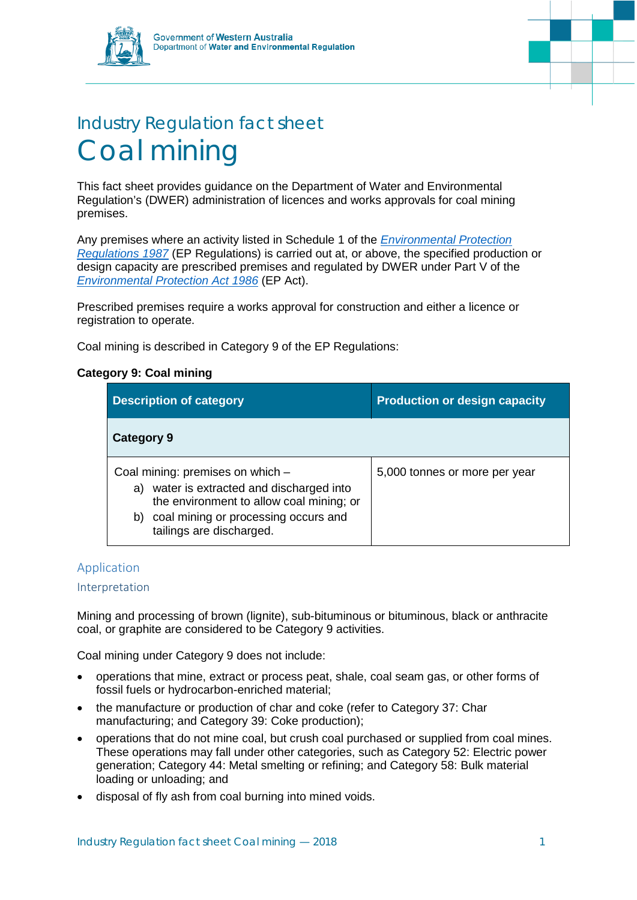

# Industry Regulation fact sheet Coal mining

This fact sheet provides guidance on the Department of Water and Environmental Regulation's (DWER) administration of licences and works approvals for coal mining premises.

Any premises where an activity listed in Schedule 1 of the *[Environmental Protection](https://www.slp.wa.gov.au/legislation/statutes.nsf/main_mrtitle_1400_homepage.html)  [Regulations 1987](https://www.slp.wa.gov.au/legislation/statutes.nsf/main_mrtitle_1400_homepage.html)* (EP Regulations) is carried out at, or above, the specified production or design capacity are prescribed premises and regulated by DWER under Part V of the *[Environmental Protection Act 1986](https://www.slp.wa.gov.au/legislation/statutes.nsf/main_mrtitle_304_homepage.html)* (EP Act).

Prescribed premises require a works approval for construction and either a licence or registration to operate.

Coal mining is described in Category 9 of the EP Regulations:

# **Category 9: Coal mining**

| <b>Description of category</b>                                                                                                                                                                      | <b>Production or design capacity</b> |
|-----------------------------------------------------------------------------------------------------------------------------------------------------------------------------------------------------|--------------------------------------|
| Category 9                                                                                                                                                                                          |                                      |
| Coal mining: premises on which -<br>a) water is extracted and discharged into<br>the environment to allow coal mining; or<br>coal mining or processing occurs and<br>b)<br>tailings are discharged. | 5,000 tonnes or more per year        |

# Application

## Interpretation

Mining and processing of brown (lignite), sub-bituminous or bituminous, black or anthracite coal, or graphite are considered to be Category 9 activities.

Coal mining under Category 9 does not include:

- operations that mine, extract or process peat, shale, coal seam gas, or other forms of fossil fuels or hydrocarbon-enriched material;
- the manufacture or production of char and coke (refer to Category 37: Char manufacturing; and Category 39: Coke production);
- operations that do not mine coal, but crush coal purchased or supplied from coal mines. These operations may fall under other categories, such as Category 52: Electric power generation; Category 44: Metal smelting or refining; and Category 58: Bulk material loading or unloading; and
- disposal of fly ash from coal burning into mined voids.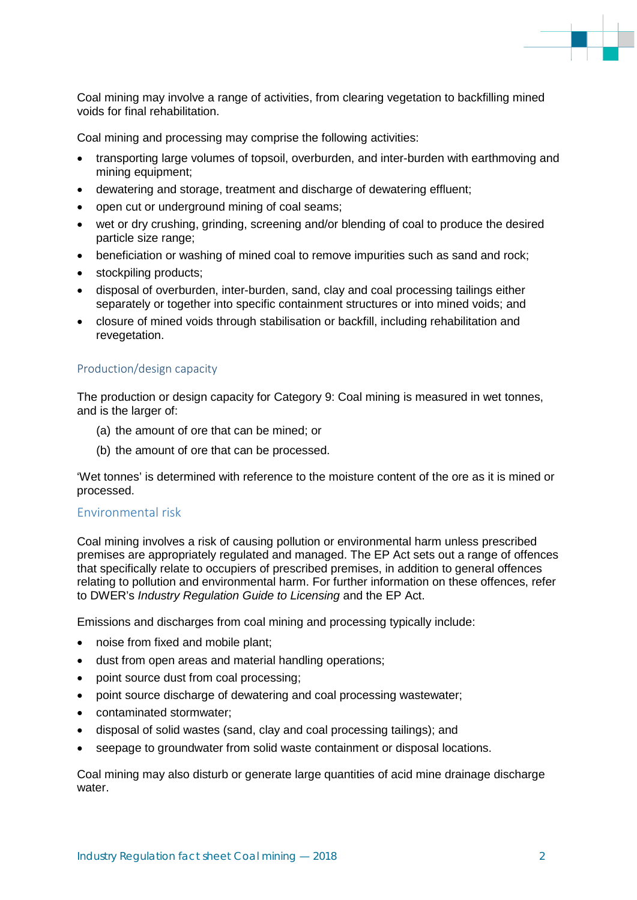

Coal mining may involve a range of activities, from clearing vegetation to backfilling mined voids for final rehabilitation.

Coal mining and processing may comprise the following activities:

- transporting large volumes of topsoil, overburden, and inter-burden with earthmoving and mining equipment;
- dewatering and storage, treatment and discharge of dewatering effluent;
- open cut or underground mining of coal seams;
- wet or dry crushing, grinding, screening and/or blending of coal to produce the desired particle size range;
- beneficiation or washing of mined coal to remove impurities such as sand and rock;
- stockpiling products;
- disposal of overburden, inter-burden, sand, clay and coal processing tailings either separately or together into specific containment structures or into mined voids; and
- closure of mined voids through stabilisation or backfill, including rehabilitation and revegetation.

# Production/design capacity

The production or design capacity for Category 9: Coal mining is measured in wet tonnes, and is the larger of:

- (a) the amount of ore that can be mined; or
- (b) the amount of ore that can be processed.

'Wet tonnes' is determined with reference to the moisture content of the ore as it is mined or processed.

## Environmental risk

Coal mining involves a risk of causing pollution or environmental harm unless prescribed premises are appropriately regulated and managed. The EP Act sets out a range of offences that specifically relate to occupiers of prescribed premises, in addition to general offences relating to pollution and environmental harm. For further information on these offences, refer to DWER's *Industry Regulation Guide to Licensing* and the EP Act.

Emissions and discharges from coal mining and processing typically include:

- noise from fixed and mobile plant;
- dust from open areas and material handling operations;
- point source dust from coal processing;
- point source discharge of dewatering and coal processing wastewater;
- contaminated stormwater;
- disposal of solid wastes (sand, clay and coal processing tailings); and
- seepage to groundwater from solid waste containment or disposal locations.

Coal mining may also disturb or generate large quantities of acid mine drainage discharge water.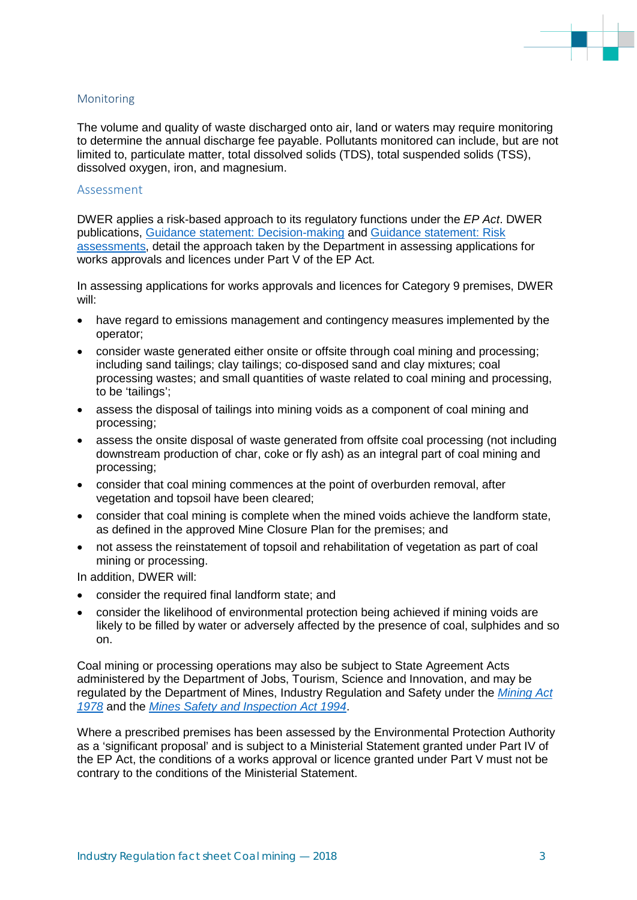

## Monitoring

The volume and quality of waste discharged onto air, land or waters may require monitoring to determine the annual discharge fee payable. Pollutants monitored can include, but are not limited to, particulate matter, total dissolved solids (TDS), total suspended solids (TSS), dissolved oxygen, iron, and magnesium.

#### Assessment

DWER applies a risk-based approach to its regulatory functions under the *EP Act*. DWER publications, [Guidance statement: Decision-making](https://www.der.wa.gov.au/images/documents/our-work/licences-and-works-approvals/GS_Decision_Making.pdf) and [Guidance statement: Risk](https://www.der.wa.gov.au/images/documents/our-work/licences-and-works-approvals/GS_Risk_Assessments.pdf)  [assessments,](https://www.der.wa.gov.au/images/documents/our-work/licences-and-works-approvals/GS_Risk_Assessments.pdf) detail the approach taken by the Department in assessing applications for works approvals and licences under Part V of the EP Act*.*

In assessing applications for works approvals and licences for Category 9 premises, DWER will:

- have regard to emissions management and contingency measures implemented by the operator;
- consider waste generated either onsite or offsite through coal mining and processing: including sand tailings; clay tailings; co-disposed sand and clay mixtures; coal processing wastes; and small quantities of waste related to coal mining and processing, to be 'tailings';
- assess the disposal of tailings into mining voids as a component of coal mining and processing;
- assess the onsite disposal of waste generated from offsite coal processing (not including downstream production of char, coke or fly ash) as an integral part of coal mining and processing;
- consider that coal mining commences at the point of overburden removal, after vegetation and topsoil have been cleared;
- consider that coal mining is complete when the mined voids achieve the landform state, as defined in the approved Mine Closure Plan for the premises; and
- not assess the reinstatement of topsoil and rehabilitation of vegetation as part of coal mining or processing.

In addition, DWER will:

- consider the required final landform state; and
- consider the likelihood of environmental protection being achieved if mining voids are likely to be filled by water or adversely affected by the presence of coal, sulphides and so on.

Coal mining or processing operations may also be subject to State Agreement Acts administered by the Department of Jobs, Tourism, Science and Innovation, and may be regulated by the Department of Mines, Industry Regulation and Safety under the *[Mining Act](https://www.slp.wa.gov.au/legislation/statutes.nsf/main_mrtitle_604_homepage.html)  [1978](https://www.slp.wa.gov.au/legislation/statutes.nsf/main_mrtitle_604_homepage.html)* and the *[Mines Safety and Inspection Act 1994](https://www.legislation.wa.gov.au/legislation/statutes.nsf/law_a515.html)*.

Where a prescribed premises has been assessed by the Environmental Protection Authority as a 'significant proposal' and is subject to a Ministerial Statement granted under Part IV of the EP Act, the conditions of a works approval or licence granted under Part V must not be contrary to the conditions of the Ministerial Statement.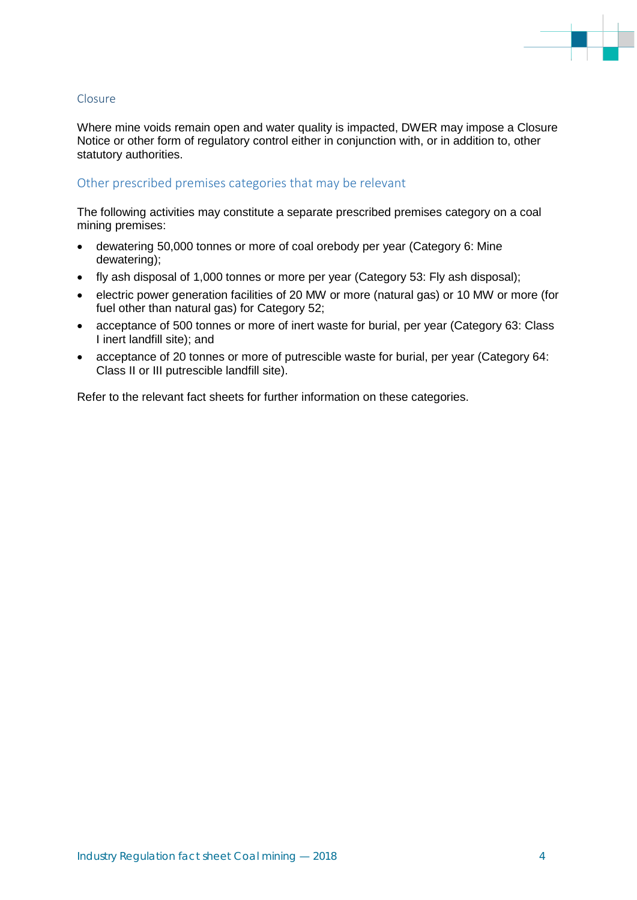

## Closure

Where mine voids remain open and water quality is impacted, DWER may impose a Closure Notice or other form of regulatory control either in conjunction with, or in addition to, other statutory authorities.

# Other prescribed premises categories that may be relevant

The following activities may constitute a separate prescribed premises category on a coal mining premises:

- dewatering 50,000 tonnes or more of coal orebody per year (Category 6: Mine dewatering);
- fly ash disposal of 1,000 tonnes or more per year (Category 53: Fly ash disposal);
- electric power generation facilities of 20 MW or more (natural gas) or 10 MW or more (for fuel other than natural gas) for Category 52;
- acceptance of 500 tonnes or more of inert waste for burial, per year (Category 63: Class I inert landfill site); and
- acceptance of 20 tonnes or more of putrescible waste for burial, per year (Category 64: Class II or III putrescible landfill site).

Refer to the relevant fact sheets for further information on these categories.